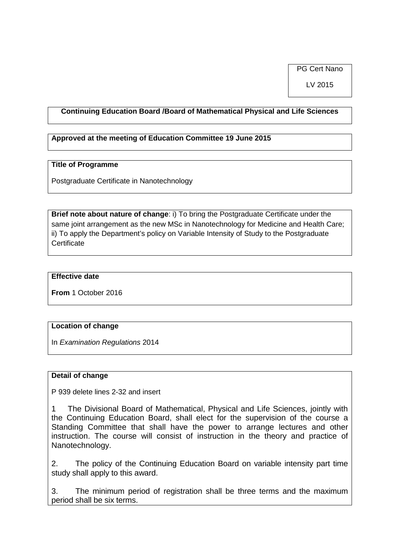PG Cert Nano

LV 2015

# **Continuing Education Board /Board of Mathematical Physical and Life Sciences**

# **Approved at the meeting of Education Committee 19 June 2015**

#### **Title of Programme**

Postgraduate Certificate in Nanotechnology

**Brief note about nature of change**: i) To bring the Postgraduate Certificate under the same joint arrangement as the new MSc in Nanotechnology for Medicine and Health Care; ii) To apply the Department's policy on Variable Intensity of Study to the Postgraduate **Certificate** 

#### **Effective date**

**From** 1 October 2016

## **Location of change**

In *Examination Regulations* 2014

## **Detail of change**

P 939 delete lines 2-32 and insert

1 The Divisional Board of Mathematical, Physical and Life Sciences, jointly with the Continuing Education Board, shall elect for the supervision of the course a Standing Committee that shall have the power to arrange lectures and other instruction. The course will consist of instruction in the theory and practice of Nanotechnology.

2. The policy of the Continuing Education Board on variable intensity part time study shall apply to this award.

3. The minimum period of registration shall be three terms and the maximum period shall be six terms.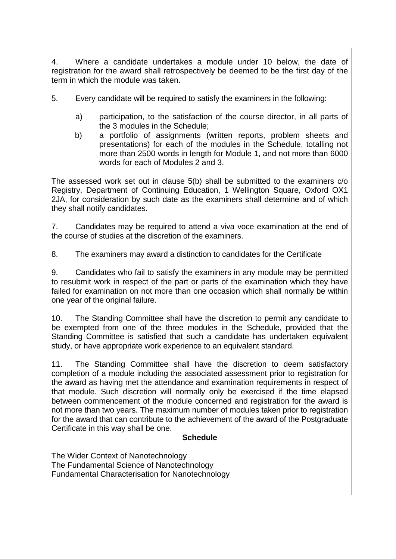4. Where a candidate undertakes a module under 10 below, the date of registration for the award shall retrospectively be deemed to be the first day of the term in which the module was taken.

- 5. Every candidate will be required to satisfy the examiners in the following:
	- a) participation, to the satisfaction of the course director, in all parts of the 3 modules in the Schedule;
	- b) a portfolio of assignments (written reports, problem sheets and presentations) for each of the modules in the Schedule, totalling not more than 2500 words in length for Module 1, and not more than 6000 words for each of Modules 2 and 3.

The assessed work set out in clause 5(b) shall be submitted to the examiners c/o Registry, Department of Continuing Education, 1 Wellington Square, Oxford OX1 2JA, for consideration by such date as the examiners shall determine and of which they shall notify candidates.

7. Candidates may be required to attend a viva voce examination at the end of the course of studies at the discretion of the examiners.

8. The examiners may award a distinction to candidates for the Certificate

9. Candidates who fail to satisfy the examiners in any module may be permitted to resubmit work in respect of the part or parts of the examination which they have failed for examination on not more than one occasion which shall normally be within one year of the original failure.

10. The Standing Committee shall have the discretion to permit any candidate to be exempted from one of the three modules in the Schedule, provided that the Standing Committee is satisfied that such a candidate has undertaken equivalent study, or have appropriate work experience to an equivalent standard.

11. The Standing Committee shall have the discretion to deem satisfactory completion of a module including the associated assessment prior to registration for the award as having met the attendance and examination requirements in respect of that module. Such discretion will normally only be exercised if the time elapsed between commencement of the module concerned and registration for the award is not more than two years. The maximum number of modules taken prior to registration for the award that can contribute to the achievement of the award of the Postgraduate Certificate in this way shall be one.

# **Schedule**

The Wider Context of Nanotechnology The Fundamental Science of Nanotechnology Fundamental Characterisation for Nanotechnology